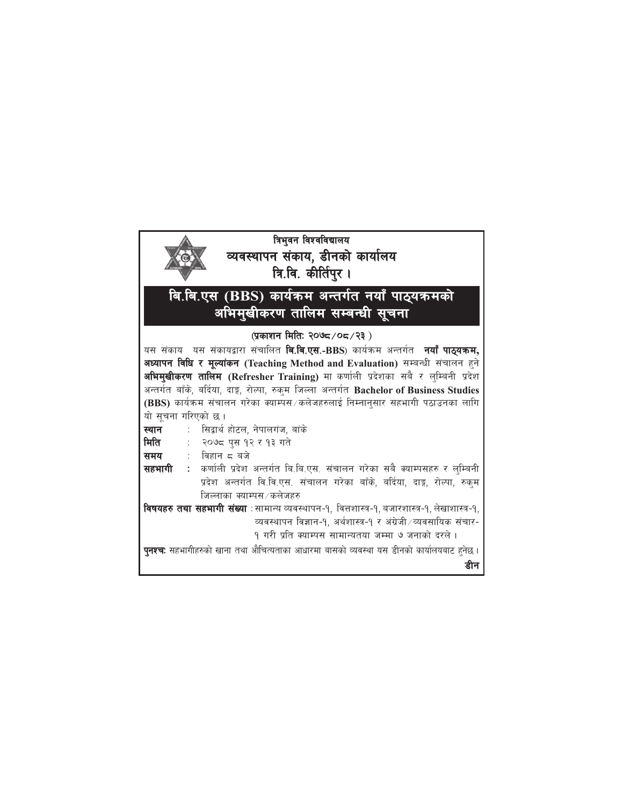## त्रिभुवन विश्वविद्यालय व्यवस्थापन संकाय, डीनको कार्यालय त्रि.वि. कीर्तिपुर। बि.बि.एस (BBS) कार्यक्रम अन्तर्गत नयाँ पाठ्यक्रमको अभिमुखीकरण तालिम सम्बन्धी सूचना (प्रकाशन मिति: २०७८/०८/२३) यस संकाय यस संकायद्वारा संचालित **बि.बि.एस.-BBS**) कार्यक्रम अन्तर्गत नयाँ पाठ्यक्रम, अध्यापन विधि र मूल्यांकन (Teaching Method and Evaluation) सम्बन्धी संचालन हुने अभिमुखीकरण तालिम (Refresher Training) मा कर्णाली प्रदेशका सबै र लुम्बिनी प्रदेश अन्तर्गत बाँके, बर्दिया, दाङ्ग, रोल्पा, रुकुम जिल्ला अन्तर्गत Bachelor of Business Studies (BBS) कार्यक्रम संचालन गरेका क्याम्पस / कलेजहरुलाई निम्नान्सार सहभागी पठाउनका लागि यो सूचना गरिएको छ । स्थान : सिद्वार्थ होटल, नेपालगंज, बांके मिति २०७८ पुस १२ र १३ गते  $\ddot{\ddot{}}$  . ∶ विहान द बजे समय सहभागी : कर्णाली प्रदेश अन्तर्गत बि.बि.एस. संचालन गरेका सबै क्याम्पसहरु र लुम्बिनी प्रदेश अन्तर्गत वि.वि.एस. संचालन गरेका बाँके, बर्दिया, दाङ्ग, रोल्पा, रुक्म जिल्लाका क्याम्पस ⁄ कलेजहरु **विषयहरु तथा सहभागी संख्या** :सामान्य व्यवस्थापन-१, वित्तशास्त्र-१, बजारशास्त्र-१, लेखाशास्त्र-१, व्यवस्थापन विज्ञान-१, अर्थशास्त्र-१ र अंग्रेजी ∕व्यवसायिक संचार-१ गरी प्रति क्याम्पस सामान्यतया जम्मा ७ जनाको दरले। **पुनश्च:** सहभागीहरुको खाना तथा औचित्यताका आधारमा बासको व्यवस्था यस डीनको कार्यालयबाट हुनेछ। डीन